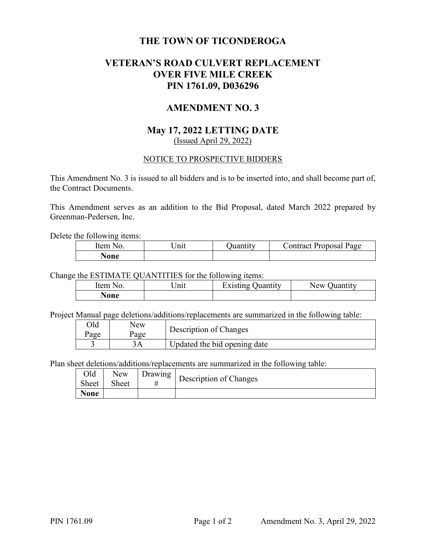# **THE TOWN OF TICONDEROGA**

# **VETERAN'S ROAD CULVERT REPLACEMENT OVER FIVE MILE CREEK PIN 1761.09, D036296**

# **AMENDMENT NO. 3**

## **May 17, 2022 LETTING DATE**  (Issued April 29, 2022)

#### NOTICE TO PROSPECTIVE BIDDERS

This Amendment No. 3 is issued to all bidders and is to be inserted into, and shall become part of, the Contract Documents.

This Amendment serves as an addition to the Bid Proposal, dated March 2022 prepared by Greenman-Pedersen, Inc.

Delete the following items:

| Item<br>N <sub>O</sub> | Init | Juantıtv | Jontract Proposal Page |
|------------------------|------|----------|------------------------|
| None                   |      |          |                        |

Change the ESTIMATE QUANTITIES for the following items:

| Item<br>חורו | $\ln n$ | Existing (<br>Juantıtv | New<br>Juantıtv |
|--------------|---------|------------------------|-----------------|
| vone         |         |                        |                 |

Project Manual page deletions/additions/replacements are summarized in the following table:

| Old  | New  | Description of Changes       |
|------|------|------------------------------|
| Page | Page |                              |
|      |      | Updated the bid opening date |

Plan sheet deletions/additions/replacements are summarized in the following table:

|             |  | Old   New   Drawing   Description of Changes |
|-------------|--|----------------------------------------------|
| Sheet Sheet |  |                                              |
| <b>None</b> |  |                                              |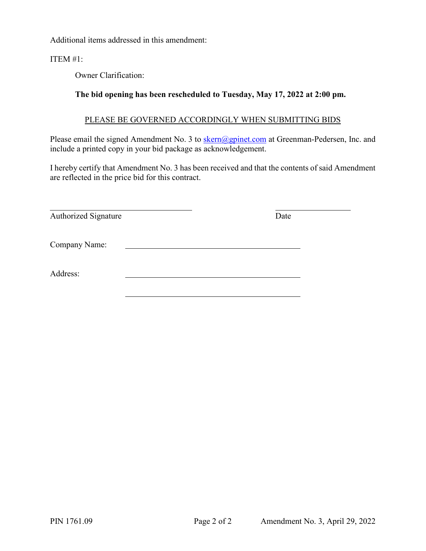Additional items addressed in this amendment:

### ITEM #1:

Owner Clarification:

### **The bid opening has been rescheduled to Tuesday, May 17, 2022 at 2:00 pm.**

#### PLEASE BE GOVERNED ACCORDINGLY WHEN SUBMITTING BIDS

Please email the signed Amendment No. 3 to skern@gpinet.com at Greenman-Pedersen, Inc. and include a printed copy in your bid package as acknowledgement.

I hereby certify that Amendment No. 3 has been received and that the contents of said Amendment are reflected in the price bid for this contract.

| Authorized Signature | Date |  |
|----------------------|------|--|
| Company Name:        |      |  |
| Address:             |      |  |
|                      |      |  |